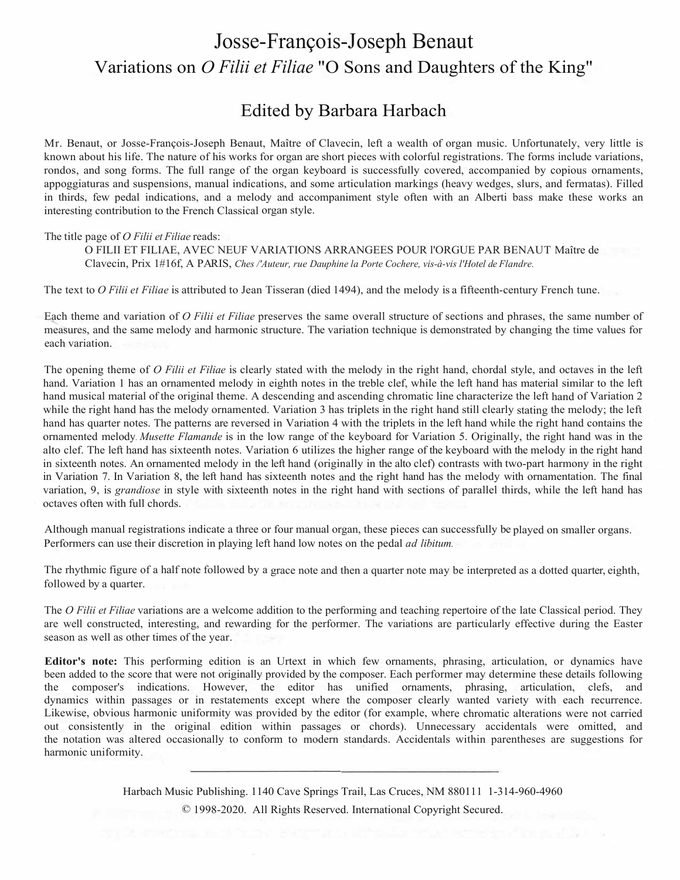## Josse-François-Joseph Benaut Variations on *O Filii et Filiae* "O Sons and Daughters of the King"

## Edited by Barbara Harbach

Mr. Benaut, or Josse-François-Joseph Benaut, Maître of Clavecin, left a wealth of organ music. Unfortunately, very little is known about his life. The nature of his works for organ are short pieces with colorful registrations. The forms include variations, rondos, and song forms. The full range of the organ keyboard is successfully covered, accompanied by copious ornaments, appoggiaturas and suspensions, manual indications, and some articulation markings (heavy wedges, slurs, and fermatas). Filled in thirds, few pedal indications, and a melody and accompaniment style often with an Alberti bass make these works an interesting contribution to the French Classical organ style.

## The title page of *O Filii et Filiae* reads:

O FILII ET FILIAE, AVEC NEUF VARIATIONS ARRANGEES POUR l'ORGUE PAR BENAUT Maître de Clavecin, Prix 1#16f, A PARIS, *Ches /'Auteur, rue Dauphine la Porte Cochere, vis-à-vis l'Hotel de Flandre.* 

The text to *O Filii et Filiae* is attributed to Jean Tisseran (died 1494), and the melody is a fifteenth-century French tune.

Each theme and variation of *O Filii et Filiae* preserves the same overall structure of sections and phrases, the same number of measures, and the same melody and harmonic structure. The variation technique is demonstrated by changing the time values for each variation.

The opening theme of *O Filii et Filiae* is clearly stated with the melody in the right hand, chordal style, and octaves in the left hand. Variation 1 has an ornamented melody in eighth notes in the treble clef, while the left hand has material similar to the left hand musical material of the original theme. A descending and ascending chromatic line characterize the left hand of Variation 2 while the right hand has the melody ornamented. Variation 3 has triplets in the right hand still clearly stating the melody; the left hand has quarter notes. The patterns are reversed in Variation 4 with the triplets in the left hand while the right hand contains the ornamented melody. *Musette Flamande* is in the low range of the keyboard for Variation 5. Originally, the right hand was in the alto clef. The left hand has sixteenth notes. Variation 6 utilizes the higher range of the keyboard with the melody in the right hand in sixteenth notes. An ornamented melody in the left hand (originally in the alto clef) contrasts with two-part harmony in the right in Variation 7. In Variation 8, the left hand has sixteenth notes and the right hand has the melody with ornamentation. The final variation, 9, is *grandiose* in style with sixteenth notes in the right hand with sections of parallel thirds, while the left hand has octaves often with full chords.

Although manual registrations indicate a three or four manual organ, these pieces can successfully be played on smaller organs. Performers can use their discretion in playing left hand low notes on the pedal *ad libitum.* 

The rhythmic figure of a half note followed by a grace note and then a quarter note may be interpreted as a dotted quarter, eighth, followed by a quarter.

The *O Filii et Filiae* variations are a welcome addition to the performing and teaching repertoire of the late Classical period. They are well constructed, interesting, and rewarding for the performer. The variations are particularly effective during the Easter season as well as other times of the year.

**Editor's note:** This performing edition is an Urtext in which few ornaments, phrasing, articulation, or dynamics have been added to the score that were not originally provided by the composer. Each performer may determine these details following the composer's indications. However, the editor has unified ornaments, phrasing, articulation, clefs, and dynamics within passages or in restatements except where the composer clearly wanted variety with each recurrence. Likewise, obvious harmonic uniformity was provided by the editor (for example, where chromatic alterations were not carried out consistently in the original edition within passages or chords). Unnecessary accidentals were omitted, and the notation was altered occasionally to conform to modern standards. Accidentals within parentheses are suggestions for harmonic uniformity.

> Harbach Music Publishing. 1140 Cave Springs Trail, Las Cruces, NM 880111 1-314-960-4960 © 1998-2020. All Rights Reserved. International Copyright Secured.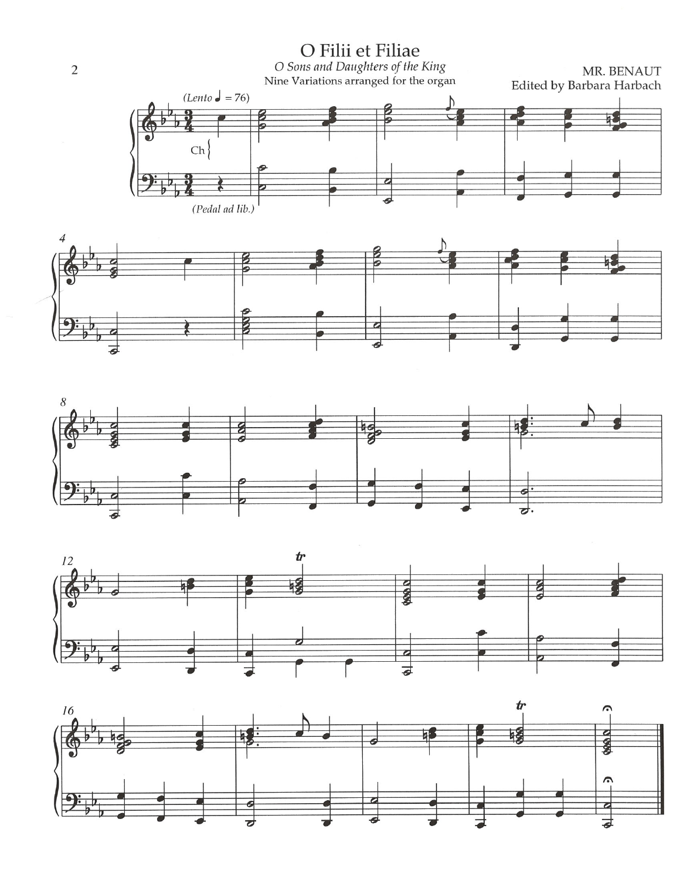